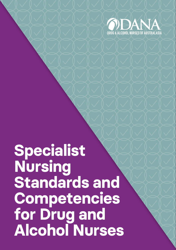

# **Specialist Nursing Standards and Competencies for Drug and Alcohol Nurses**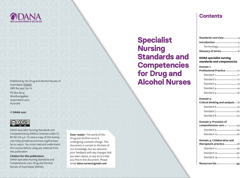

Published by the Drug and Alcohol Nurses of Australasia [\(DANA\)](https://www.danaonline.org/) ABN 84 944 724 112

PO Box 8014 Woolloongabba Queensland 4102 Australia

#### **© DANA 2021**



DANA Specialist Nursing Standards and Competencies by DANA is licensed under CC BY-NC-SA 4.0. To view a copy of this license, visit [https://creativecommons.org/licenses/](https://creativecommons.org/licenses/by-nc-sa/4.0) [by-nc-sa/4.0.](https://creativecommons.org/licenses/by-nc-sa/4.0) You must read and understand the License before using any material from this publication.

**Citation for this publication:**  DANA Specialist Nursing Standards and Competencies 2021: Drug and Alcohol Nurses of Australasia (DANA).

**Dear reader:** The world of the Drug and Alcohol nurse is undergoing constant change. This document is current to the best of our knowledge, but we welcome your feedback with any changes that you learn about, or any errors that you find in this document. Please email **[dana.nurses@gmail.com](mailto:dana.nurses%40gmail.com?subject=)**

## **Specialist Nursing Standards and Competencies for Drug and Alcohol Nurses**

### **Contents**

| <b>Standards overview</b> |  |
|---------------------------|--|
| Introduction-             |  |
| Terminology-              |  |
| <b>Glossary of terms</b>  |  |

#### **DANA specialist nursing standards and competencies**

#### **Domain 1: Professional Practice** 10 Standard 1<sup>-11</sup> Standard 2 Standard  $3$  13 Standard 4 14 Standard 5 16

#### **Domain 2:**

| Critical thinking and analysis— $18$ |    |
|--------------------------------------|----|
| Standard 6-                          | 1Ç |
| Standard 7-                          | ìС |
| Standard 8-                          | 22 |
|                                      |    |

#### **Domain 3: Provision of**

| comprehensive care | 23 |
|--------------------|----|
| Standard 9-        | 24 |
| Standard 10-       | 6  |

| Domain 4: Collaborative and            |     |
|----------------------------------------|-----|
| therapeutic practice———                | -28 |
| Standard 11 <sup>-2</sup>              |     |
| Standard $12$ $\overline{\phantom{1}}$ | -30 |
| Standard 13-                           | -31 |
| <b>Resources list-</b>                 |     |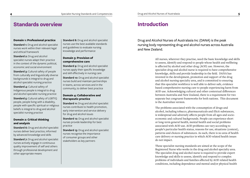### **Standards overview**

#### **Domain 1: Professional practice**

**Standard 1:** Drug and alcohol specialist nurses work within their relevant legal and ethical framework

**Standard 2:** Drug and alcohol specialist nurses adapt their practice in the context of the dynamic political, economic and social environment

**Standard 3: Cultural safety of people** from culturally and linguistically diverse backgrounds is integral to drug and alcohol specialist nursing practice

**Standard 4:** Cultural safety of Indigenous people is integral to drug and alcohol specialist nursing practice

**Standard 5: Cultural safety of LGBTIO** people, people living with a disability, people with specific spiritual or religious beliefs is integral to drug and alcohol specialist nursing practice

#### **Domain 2: Critical thinking and analysis**

**Standard 6:** Drug and alcohol specialist nurses deliver best practice, informed by advanced knowledge and skills

**Standard 7:** Drug and alcohol specialist nurses actively engage in continuous quality improvement of self and others through professional development and other appropriate means

**Standard 8:** Drug and alcohol specialist nurses use the best available standards and guidelines to evaluate nursing knowledge and performance

#### **Domain 3: Provision of comprehensive care**

**Standard 9:** Drug and alcohol specialist nurses apply their specific knowledge and skill effectively in nursing care

**Standard 10:** Drug and alcohol specialist nurses build and maintain partnerships in teams, across services and in the community, to deliver best practice

#### **Domain 4: Collaborative and therapeutic practice**

**Standard 11:** Drug and alcohol specialist nurses contribute to health promotion, early intervention and service delivery for drug and alcohol issues

**Standard 12: Drug and alcohol specialist** nurses provide leadership for best practice

**Standard 13: Drug and alcohol specialist** nurses recognise the importance of consumer groups and other stakeholders as key partners

### **Introduction**

Drug and Alcohol Nurses of Australasia Inc (DANA) is the peak nursing body representing drug and alcohol nurses across Australia and New Zealand.

> All nurses, wherever they practise, need the basic knowledge and skills to assess, identify and respond to people whose health and wellbeing is affected by alcohol and other drug (AOD) use. However, the specialist drug and alcohol nurse is required to have comprehensive knowledge, skills and provide leadership in the field. DANA has invested in the development, promotion and support of the drug and alcohol nursing specialty area, and is committed to ensuring that this specialist workforce is well able to deliver safe, evidence based comprehensive nursing care to people experiencing harm from AOD use. Acknowledging cultural and other contextual differences between Australia and New Zealand, there is a requirement for two separate but congruent frameworks for both nations. This document is the Australian version.

The problems associated with the consumption of drugs and alcohol, including tobacco, pharmaceuticals and illicit substances, is widespread and adversely affects people from all ages and socioeconomic and cultural backgrounds. People can experience short or long-term general health, mental health and social problems associated with AOD use. AOD problems can vary according to people's particular health status, reasons for use, situations (context), patterns and choices of substances. As such, there is no area of health care delivery or nursing practice in which AOD related health issues do not impact.

These specialist nursing standards are aimed at the scope of the Registered Nurse who works in the drug and alcohol specialty area. The specialist drug and alcohol nurse is required to provide expert knowledge and skills to assess, identify and respond to complex problems of individuals and families affected by AOD related health conditions, including dependence and mental and/or physical health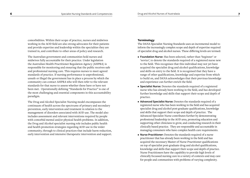comorbidities. Within their scope of practice, nurses and midwives working in the AOD field are also strong advocates for their patients and provide expertise and leadership within the specialties they are trained in, and contribute to other areas of policy and research.

The Australian government and communities hold nurses and midwives fully accountable for their practice. Under legislation the Australian Health Practitioner Regulation Agency (AHPRA) is responsible for monitoring and ensuring that the public receives safe and professional nursing care. This requires nurses to meet agreed standards of practice. If nursing performance is unprofessional, unsafe or illegal the government has in place a process by which the community can contact AHPRA who will then refer to the relevant standards for that nurse to assess whether these have or have not been met. Operationally defining "Standards for Practice" is one of the most challenging and essential components in this accountability paradigm.

The Drug and Alcohol Specialist Nursing model encompasses the continuum of health across the spectrums of primary and secondary prevention, early intervention and treatment in relation to the management of disorders associated with AOD use. The model also includes assessment and relevant interventions required by people with comorbid mental and/or physical health problems. In addition, the Drug and Alcohol specialist nursing role includes public health and health promotion strategies regarding AOD use in the wider community, through to clinical practices that include harm reduction, early intervention and intensive therapeutic intervention and support.

#### **Terminology**

The DANA Specialist Nursing Standards uses an incremental model to inform the increasingly complex scope and depth of expertise required of specialist drug and alcohol nurses. These differing levels are termed:

- **Foundation Nurse**: Has been selected, rather than 'beginner' or 'novice', to denote the standards required of a registered nurse new to the field. This recognises that this individual may not yet have acquired the specialist drug and alcohol qualifications, knowledge and skills on entry to the field. It is recognised that they have a range of other qualifications, knowledge and expertise from which to build on, and DANA acknowledges that their previous knowledge and experience can further enrich the field.
- **Specialist Nurse:** Denotes the standards required of a registered nurse who has already been working in the field, and has developed further knowledge and skills that support their scope and depth of practice.
- **Advanced Specialist Nurse:** Denotes the standards required of a registered nurse who has been working in the field and has acquired specialist drug and alcohol post-graduate qualifications, knowledge and skills that support their scope and depth of practice. The Advanced Specialist Nurse contributes further by demonstrating professional leadership in the AOD area, promoting education and supporting other clinicians to grow, and conducting research in their clinically based practice. They are responsible and accountable in managing consumers who have complex health care requirements.
- **Nurse Practitioner:** Denotes the standards required of a nurse practitioner that has already been working in the field and has acquired the necessary Master of Nurse Practitioner qualifications on top of specialist post-graduate drug and alcohol qualifications, knowledge and skills that support their scope and depth of practice. Nurse Practitioners have the capability to provide high levels of clinically focussed nursing care in a variety of contexts and may care for people and communities with problems of varying complexity.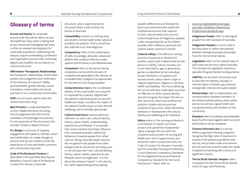### **Glossary of terms**

**Access and Equity** for all people ensures that they will be able to access the healthcare they need. Creating that access means acknowledging that there is often an unequal starting place for vulnerable populations. Addressing that inequity requires embedding a profession and organisation process that continually adjusts and modifies service delivery to improve outcomes.

**Affirmative Therapeutic Relationships**  are therapeutic relationships, which foster positive encouragement and celebration of the diversity of a person's ability, spiritual beliefs, gender identity, sexual orientation, relationships and sexual practices in our society and communities.

**AOD** is an acronym used to describe 'alcohol and other drug'.

**Best Practice** is understanding the current reliable literature and using clinical judgement that informs the translation of knowledge into practice. For the purposes of this document, this includes "Evidence Based Practice".

**Co-design** is a process of ongoing engagement with patients, families, carers and stakeholders to create changes to services and service models so that the experiences of care and health outcomes are continuously improved.

**Code of Professional Conduct** is described in the Australian Nursing and Midwifery Council Code of Professional Conduct for Nurses in Australia

document, and is supported by the document titled, Code of Ethics for Nurses in Australia.

**Comorbidity** is where co-existing drug and alcohol, mental health and/or physical problems are present. This is sometimes also referred to as 'dual diagnosis'.

**Competency** refers to the combination of skills, knowledge, attitudes, values and abilities that underpin effective and/or superior performance in a professional area.

**Competent** refers to the person having competence across all the domains of competencies applicable to the clinician, at a standard that is judged to be appropriate for the level of nurse being assessed.

**Comprehensive Care** is the coordinated delivery of the total health care required or requested by a patient, aligned with the patient's expressed goals of care and healthcare needs, considers the impact of the patient's health issues on their life and wellbeing, and is clinically appropriate.

**Cultural awareness** requires personal reflection on one's own cultural identity, history, values, beliefs, understanding, experiences and lifestyle. It is essential that nurses examine how these influence their individual attitudes, beliefs and behaviours towards people from other cultures. Being culturally aware requires the recognition that people from other backgrounds to the person providing care or service have their own cultural identity, history, values, beliefs, experiences and lifestyles which are legitimate. It is not about becoming an 'expert' in all cultures, but rather appreciating and accepting

people's differences and finding how best to provide them with respectful professional services that respond to their cultural needs and concerns. Cultural awareness of Indigenous peoples is also recognising that, as first Nation peoples, their traditions, practices and cultural values continue to evolve.

**Cultural safety** is the effective nursing practice of a person or family from another culture and is determined by that person or family. Culture includes, but is not restricted to, age or generation; gender as identified by the individual; sexual orientation; occupation and socioeconomic status; ethnic origin or migrant experience; religious or spiritual belief; and disability. The nurse delivering the service will have undertaken a process of reflection on their cultural identity and will recognise the impact this has on their personal culture and professional practice. Unsafe cultural practices comprise of any action, which diminishes, demeans or disempowers the cultural identity and wellbeing of an individual.

**Ethics** refers to 'the nursing profession's commitment to respect, promote, protect and uphold the fundamental rights of people who are both the recipients and providers of nursing and health care' and 'is supported by, and should be read in conjunction with, the Code of Conduct for Nurses in Australia and the Australian Nursing and Midwifery Council National Competency Standards for the Registered Nurse and National Competency Standards for the Nurse Practitioner'. Please refer to:

[www.nursingmidwiferyboard.gov.](http://www.nursingmidwiferyboard.gov.au/Codes-Guidelines-Statements/Professional-standards.aspx) [au/Codes-Guidelines-Statements/](http://www.nursingmidwiferyboard.gov.au/Codes-Guidelines-Statements/Professional-standards.aspx) [Professional-standards.aspx](http://www.nursingmidwiferyboard.gov.au/Codes-Guidelines-Statements/Professional-standards.aspx)

**Indigenous People** refers to Aboriginal people from the mainland of Australia.

**Indigenous Peoples** is a term used in the document to reflect the diversity between Aboriginal people and people from the Torres Strait Islands.

**Legislation** refers to the relevant laws of each state and territory within Australia. This includes the legislation relevant to specialist Drug and Alcohol nursing practice.

**LGBTIQ** is an acronym commonly used to describe the identity, sexuality or intersex status of lesbian, gay, bisexual, transgender, intersex and queer people.

**Partnerships** refer to relationships and communication between members of the clinical multidisciplinary team within and across services (government and non-government) and members of the community.

**Standard** refers to a desired and achievable level of performance against which a nurse's performance can be compared.

**Trauma-informed care** is a service delivery approach whereby programs recognise the high rates of exposure to trauma in the patient populations they service; and provide a safe environment and services that accommodate the needs of patients presenting with a history of significant trauma.

**Torres Strait Islander Peoples** refers to people from the Torres Strait Islands, north of Cape York Peninsula.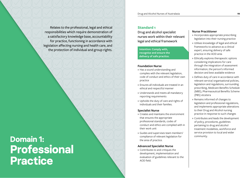Relates to the professional, legal and ethical responsibilities which require demonstration of a satisfactory knowledge base, accountability for practice, functioning in accordance with legislation affecting nursing and health care, and the protection of individual and group rights.

## **Domain 1: Professional Practice**

#### **Standard 1**

Drug and alcohol specialist nurses work within their relevant legal and ethical framework

**Intention: Comply with, recognise and ensure the delivery of safe practice.**

#### **Foundation Nurse**

- » Has a sound understanding and complies with the relevant legislation, code of conduct and ethics of their own practice
- » Ensures all individuals are treated in an ethical and respectful manner
- » Understands and meets all mandatory reporting requirements
- » Upholds the duty of care and rights of individuals and their families.

#### **Specialist Nurse**

- » Creates and maintains the environment that ensures the appropriate professional standards, codes of conduct and ethics are complied with in their work unit
- » Guides and supervises team members' compliance of relevant legislation for the area of practice.

#### **Advanced Specialist Nurse**

» Contributes to and critiques the development, implementation and evaluation of guidelines relevant to the AOD field.

- » Incorporates appropriate prescribing legislation into their nursing practice
- » Utilises knowledge of legal and ethical frameworks to advance as a clinical expert, ensuring delivery of safe practice in the AOD area
- » Ethically explores therapeutic options considering implications for care through the integration of assessment information, the person's informed decision and best available evidence
- » Defines duty of care in accordance with relevant service/ organisational policies, legislation and regulations, surrounding prescribing, Medicare Benefits Schedule (MBS), Pharmaceutical Benefits Scheme (PBS) etcetera
- » Remains informed of changes to legislation and professional regulations, and implements appropriate alterations to their Drug and Alcohol nursing practice in response to such changes
- » Contributes and leads the development of policy, procedures, guidelines pertaining to drug and alcohol treatment modalities, workforce and service provision to local and wider community.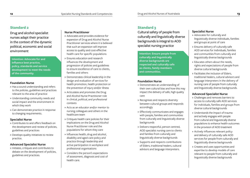Drug and alcohol specialist nurses adapt their practice in the context of the dynamic political, economic and social environment

**Intention: Advocate for and influence best practice, policy, standards and service development to meet the needs of the community.**

#### **Foundation Nurse**

- » Has a sound understanding and refers to the policies, guidelines and practices relevant to the area of practice
- » Understanding community needs and social impact and the environment in which they work
- » Can demonstrate practice in response to changing requirements.

#### **Specialist Nurse**

- » Contributes to and offers feedback on the development and review of policies, guidelines and practices
- » Develops quality initiatives to review practice.

#### **Advanced Specialist Nurse**

» Initiates, critiques and contributes to debate on the development of policies, guidelines and practices.

#### **Nurse Practitioner**

- » Advocates and provides evidence for expansion of Drug and Alcohol Nurse Practitioner services where it is believed that such an expansion will improve access to quality and cost-effective health care for specific populations
- » Ensures education and research influences the development and progression of policies and guidelines to ensure excellence of care to clients, families and others
- » Demonstrates clinical leadership in the design and evaluation of services for health promotion, health protection or the prevention of injury and/or illness
- » Articulates and promotes the Drug and Alcohol Nurse Practitioner role in clinical, political, and professional contexts
- » Acts as an educator and/or mentor to nursing colleagues and others in the healthcare team
- » Critiques health care policies for their implications on the Drug and Alcohol Nurse Practitioner role and the populations for whom they care
- » Influences health, drug and alcohol, disability and aged-care policy and practice through leadership and active participation in workplace and professional organisations
- » Considers the person's expectations of assessment, diagnosis and cost of health care.

#### **Standard 3**

Cultural safety of people from culturally and linguistically diverse backgrounds is integral to AOD specialist nursing practice

**Intention: Ensure people from culturally and linguistically diverse backgrounds are respected and culturally safe as clients, family members and communities.**

#### **Foundation Nurse**

- » Demonstrates an understanding of their own cultural bias and how this may impact the delivery of safe, high quality care
- » Recognises and respects diversity between cultural groups and responds accordingly
- » Effectively communicates and engages with people, families and communities from culturally and linguistically diverse backgrounds
- » Delivers respectful, person centred, AOD specialist nursing care to clients and families from culturally and linguistically diverse backgrounds
- » Supports and respects contributions of Elders, traditional healers, cultural advisors and language interpreters.

#### **Specialist Nurse**

- » Advocates for culturally and linguistically diverse individuals, families and groups at point of care
- » Ensures delivery of culturally safe AOD services for Individuals, families and communities from culturally and linguistically diverse backgrounds
- » Educates others about the needs, rights and expectations of people from diverse cultural backgrounds
- » Facilitates the inclusion of Elders, traditional healers, cultural advisors and language interpreters in the delivery of nursing care of people from culturally and linguistically diverse backgrounds.

#### **Advanced Specialist Nurse**

- » Challenges and removes barriers to access to culturally safe AOD services for individuals, families and groups from diverse cultural backgrounds
- » Understands the impact of trauma and actively engages with people from cultural and linguistically diverse populations to enhance health outcomes in the provision of AOD treatment
- » Actively influences relevant policy and delivery of culturally safe AOD services for people from culturally and linguistically diverse backgrounds
- » Creates and uses opportunities and expertise to develop models of care relevant to people from culturally and linguistically diverse backgrounds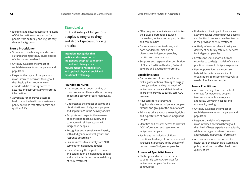» Identifies and ensures access to relevant AOD information and resources for people from culturally and linguistically diverse backgrounds.

#### **Nurse Practitioner**

- » Strives to critically analyse and ensure cultural and linguistically diverse needs of clients are considered
- » Critically evaluates the impact of social determinants on the person and population.
- » Respects the rights of the person to make informed decisions throughout their health/illness experience or episode, whilst ensuring access to accurate and appropriately interpreted information
- » Advocates for improved access to health care, the health care system and policy decisions that affect health and quality of life.

Cultural safety of Indigenous peoples is integral to drug and alcohol specialist nursing practice

**Intention: Recognise that justice and recognition of Indigenous peoples' connection to land and history are a requirement to reconciliation, and optimal physical, social and emotional wellbeing.**

#### **Foundation Nurse**

- » Demonstrates an understanding of their own cultural bias and how this may impact the delivery of safe, high quality care
- » Understands the impact of stigma and discrimination on Indigenous peoples and implications in the delivery of care
- » Supports and respects the meaning of connection to land, country and community in all interactions with Indigenous peoples
- » Recognises and is sensitive to diversity within Indigenous cultural groups and responds accordingly
- » Ensures access to culturally safe AOD services for Indigenous peoples
- » Understanding the impact of trauma and colonisation on Indigenous peoples and how it effects outcomes in delivery of AOD treatment
- » Effectively communicates and minimises
- the power differentials between themselves, Indigenous peoples, families and communities
- » Delivers person centred care, which does not demean, diminish or disempower Indigenous peoples, families and communities
- » Supports and respects the contribution of Elders, traditional healers, Cultural advisors and language interpreters.

#### **Specialist Nurse**

- » Demonstrates cultural humility, not making assumptions, striving to engage through understanding the needs of Indigenous patients and their families, in order to provide culturally safe AOD services
- » Advocates for culturally and linguistically diverse Indigenous peoples, families and groups at the point of care
- » Educates others about the needs, rights and expectations of diverse Indigenous peoples
- » Identifies and ensures access to relevant AOD information and resources for Indigenous peoples
- » Facilitates the inclusion of Elders, traditional healers, cultural advisors and language interpreters in the delivery of nursing care of Indigenous peoples.

#### **Advanced Specialist Nurse**

» Challenges and removes barriers to culturally safe AOD services for Indigenous peoples, families and communities

- » Understands the impact of trauma and actively engages with Indigenous peoples and families to enhance health outcomes in the provision of AOD treatment
- » Actively influences relevant policy and delivery of culturally safe AOD services for Indigenous peoples
- » Creates and uses opportunities and expertise to co-design models of care and practices relevant to Indigenous peoples
- » Uses opportunities and expertise to build the cultural capability of organisations to respond effectively to needs of Indigenous peoples.

- » Advocates at high level for the best interests for indigenous peoples to ensure equitable access, care and follow-up within hospital and community settings
- » Critically evaluates the impact of social determinants on the person and population
- » Respects the rights of the person to make informed decisions throughout their health/illness experience or episode, whilst ensuring access to accurate and appropriately interpreted information
- » Advocates for improved access to health care, the health care system and policy decisions that affect health and quality of life.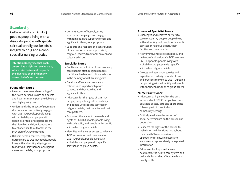Cultural safety of LGBTIQ people, people living with a disability, people with specific spiritual or religious beliefs is integral to drug and alcohol specialist nursing practice

**Intention: Recognise that each person has a right to receive care, which is inclusive and respects the diversity of their identity, values, beliefs and culture.**

#### **Foundation Nurse**

- » Demonstrates an understanding of their own personal values and beliefs and how this may impact the delivery of safe, high quality care
- » Understands the impact of stigma and discrimination and actively engages with LGBTIQ people, people living with a disability and people with specific spiritual or religious beliefs, their families and significant others to enhance health outcomes in the provision of AOD treatment
- » Delivers person centred, respectful nursing care to LGBTIQ people, people living with a disability, aligning care to individual spiritual and/or religious values and beliefs, as appropriate
- » Communicates effectively, using appropriate language, and engages with families, care support workers and significant others, as appropriate
- » Supports and respects the contribution of peer workers, care support staff, religious leaders, traditional healers and cultural advisors.

#### **Specialist Nurse**

- » Facilitates the inclusion of peer workers, care support staff, religious leaders, traditional healers and cultural advisors in the delivery of AOD nursing care
- » Develops affirmative therapeutic relationships in partnership with patients and their families and significant others
- » Advocates for the rights of LGBTIQ people, people living with a disability and people with specific spiritual or religious beliefs, their families and their care partners.
- » Educates others about the needs and rights of LGBTIQ people, people living with a disability and people with specific spiritual or religious beliefs
- » Identifies and ensures access to relevant AOD information and resources for LGBTIQ people, people living with a disability and people with specific spiritual or religious beliefs.

#### **Advanced Specialist Nurse**

- » Challenges and removes barriers to care for LGBTIQ people, people living with a disability and people with specific spiritual or religious beliefs, their families and communities
- » Actively influences relevant policy and delivery of culturally safe AOD services LGBTIQ people, people living with a disability and people with specific spiritual or religious beliefs
- » Creates and uses opportunities and expertise to co-design models of care and practices relevant to LGBTIQ people, people living with a disability and people with specific spiritual or religious beliefs.

- » Advocates at high level for the best interests for LGBTIQ people to ensure equitable access, care and appropriate follow-up within hospital and community settings
- » Critically evaluates the impact of social determinants on the person and population
- » Respects the rights of the person to make informed decisions throughout their health/illness experience or episode, whilst ensuring access to accurate and appropriately interpreted information
- » Advocates for improved access to health care, the health care system and policy decisions that affect health and quality of life.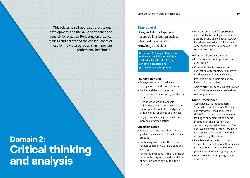This relates to self-appraisal, professional development, and the value of evidence and research for practice. Reflecting on practice, feelings and beliefs and the consequences of these for individuals/groups is an important professional benchmark.

## **Domain 2: Critical thinking and analysis**

#### **Standard 6**

Drug and alcohol specialist nurses deliver best practice, informed by advanced knowledge and skills.

**Intention: Actively enhance and maintain specialist knowledge and skills by critical thinking, reflective practice and professional development.**

#### **Foundation Nurse**

- » Engages in continuing education through formal and informal means
- » Applies and demonstrates the translation of new knowledge and skills to practice
- » Uses appropriate and available technology to enhance acquisition and use of specialist AOD knowledge and skills in caring for clients and families
- » Engages in clinical supervision in an individual or group setting.

#### **Specialist Nurse**

- » Holds or working towards a AOD postgraduate qualification relevant to their practice
- » Continuing Professional Development reflects specialist AOD knowledge and learning
- » Facilitates and supports the Foundation nurse in the acquisition and translation of new knowledge and skills in their practice

» Uses and advocates for appropriate and available technology to enhance acquisition and use of specialist AOD knowledge and skills to reflect their wider scope of practice and quality of service provision.

#### **Advanced Specialist Nurse**

- » Holds a relevant AOD post graduate qualification
- » Contributes to the evolution and application of technology to improve nursing care and service delivery
- » Provides clinical supervision on an individual or group basis
- » Able to attain credentialled certification with DANA or equivalent professional AOD organisation.

- » Australian Nurse Practitioners: Successful completion of a Nursing and Midwifery Board of Australia (NMBA)-approved program of study leading to endorsement as a nurse practitioner, or, a program that is substantially equivalent to an NMBAapproved program of study leading to endorsement as a nurse practitioner as determined by the NMBA
- » New Zealand Nurse Practitioners: Successful completion of a New Zealand Nursing Council accredited nurse practitioner master's degree program
- » Holds a relevant AOD postgraduate qualification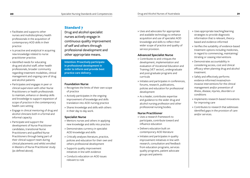- » Facilitates and supports other nurses and multidisciplinary health professionals in the acquisition of contemporary AOD skills in their practice
- » Is proactive and analytical in acquiring new knowledge related to nurse practitioner practice.
- » Identified needs for educating drug and alcohol staff, other health professionals, broader community regarding treatment modalities, clinical management and ongoing care of drug and alcohol patients
- » Participates and engages in peer or clinical supervision with other Nurse Practitioners or health professionals to maintain, enhance or develop skills and knowledge to support expansion of scope of practice in the contemporary health care setting
- » Engage in clinical mentoring of drug and alcohol clinicians both in a formal and informal capacity
- » Participate and support the development of Nurse Practitioner candidates, transitional Nurse Practitioners and qualified Nurse Practitioners through being part of their clinical support team during clinical placements and whilst enrolled in Masters of Nurse Practitioner study (as defined above).

Drug and alcohol specialist nurses actively engage in continuous quality improvement of self and others through professional development and other appropriate means.

**Intention: Proactively participate in professional development in order to inform and provide best practice care delivery.**

#### **Foundation Nurse**

- » Recognises the limits of their own scope of practice
- » Actively participates in the ongoing improvement of knowledge and skills translation into AOD nursing practice
- » Shares knowledge and skills with others in their day to day work.

#### **Specialist Nurse**

- » Mentors nurses and others in applying new knowledge and skills into practice
- » Demonstrates currency in specialist AOD knowledge and skills
- » Critically analyses literature, practice, policies and education for their own and others professional development
- » Supports quality improvement initiatives in line with evidence
- » Conducts education on AOD issues relevant to role

» Uses and advocates for appropriate and available technology to enhance acquisition and use of specialist AOD knowledge and skills to reflect their wider scope of practice and quality of service provision.

#### **Advanced Specialist Nurse**

- » Contributes to and critiques the development, implementation and evaluation of Vocational Education and Training (VET sector), undergraduate and post-graduate programs and curricula
- » Initiates and participates in conferences, forums, research, publications, policies and education for professional development
- » As a leader, contributes expertise and guidance to the wider drug and alcohol nursing profession and other professional nursing bodies.

- » Uses a research framework to participate, contribute toward and influence education
- » Delivers education built on contemporary AOD literature
- » Initiates and participates in quality improvement initiatives in line with research, consultation and feedback from education programs, services quality programs, patient advocate groups and patients
- » Uses appropriate teaching/learning strategies to provide diagnostic information that is relevant, theorybased and evidence-informed
- » Verifies the suitability of evidence-based treatment options including medicines, in regard to commencing, maintaining/ titrating or ceasing interventions
- » Demonstrates accountability in considering access, cost and clinical efficacy when planning drug and alcohol treatment.
- » Safely and effectively performs evidence-informed invasive/noninvasive interventions for the clinical management and/or prevention of illness, disease, injuries, disorders or conditions
- » Implements research-based innovations for improving care
- » Contributes to research that addresses identified gaps in the provision of care and/or services.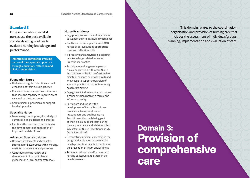Drug and alcohol specialist nurses use the best available standards and guidelines to evaluate nursing knowledge and performance.

**Intention: Recognise the evolving nature of their specialist practice through education, reflection and clinical supervision.**

#### **Foundation Nurse**

- » Undertakes regular reflection and self evaluation of their nursing practice
- » Embraces new strategies and directions that have the capacity to improve client care and nursing outcomes
- » Seeks clinical supervision and support for their practice.

#### **Specialist Nurse**

- » Maintaining contemporary knowledge of current clinical guidelines and practice
- » Identifies the need and contributes to the development and application of improved models of care.

#### **Advanced Specialist Nurse**

- » Develops, implements and evaluates strategies for best practice within nursing, multidisciplinary teams and programs
- » Contributes to the review and development of current clinical guidelines at a local and/or state level.

#### **Nurse Practitioner**

- » Engages appropriate clinical supervision to support their role as Nurse Practitioner
- » Facilitates clinical supervision of AOD nurses of all levels, using appropriate tools and reflection skills
- » Is proactive and analytical in acquiring new knowledge related to Nurse Practitioner practice
- » Participates and engages in peer or clinical supervision with other Nurse Practitioners or health professional to maintain, enhance or develop skills and knowledge to support expansion of scope of practice in the contemporary health care setting
- » Engage in clinical mentoring of drug and alcohol clinicians both in a formal and informal capacity
- » Participate and support the development of Nurse Practitioner candidates, transitional Nurse Practitioners and qualified Nurse Practitioners thorough being part of their clinical support team during clinical placements and whilst enrolled in Masters of Nurse Practitioner study (as defined above)
- » Demonstrates clinical leadership in the design and evaluation of services for health promotion, health protection or the prevention of injury and/or illness
- » Acts as an educator and/or mentor to nursing colleagues and others in the healthcare team.

## **Domain 3: Provision of comprehensive care**

This domain relates to the coordination, organisation and provision of nursing care that includes the assessment of individuals/groups, planning, implementation and evaluation of care.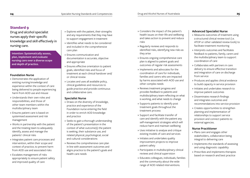Drug and alcohol specialist nurses apply their specific knowledge and skill effectively in nursing care.

**Intention: Systematically assess, plan, implement and evaluate nursing care over a diverse scope and depth of practice.**

#### **Foundation Nurse**

- » Demonstrates the application of existing nursing knowledge and experience within the context of care being delivered to people experiencing harm from AOD use and misuse
- » Understands their own roles and responsibilities, and those of other team members within the multidisciplinary team
- » Ensures patient care is based on systemised assessment and risk management
- » Works in partnership with the patient and the treating team to adequately identify, assess and manage the patients' clinical risks
- » Integrates patient care processes and intervention, within their scope and context of practice, to prevent harm from AOD use and associated risks
- » Escalates management of risks appropriately to ensure patient safety and improved quality of care
- » Explores with the patient, their strengths and any requirements that they may have to support engagement in treatment
- » Identifies what needs to be considered and included in the comprehensive care plan
- » Ensures communication and documentation is accurate, objective and appropriate
- » Ensures effective orientation to patient goals, identified risks and focus of treatment at each clinical handover and/ or clinical review
- » Locates and uses all available policy, clinical guidelines and resources to guide practice and provide continuous and collaborative care.

#### **Specialist Nurse**

- » Draws on the diversity of knowledge, practice and experience of the Foundation nurse entering the field in order to enrich AOD knowledge and practice
- » Seeks to gain a thorough understanding of the patient's presentation in the context of what outcome(s) the patient is seeking, their substance use, and related physical, psychological, social and cultural considerations
- » Reviews the comprehensive care plan in line with assessment outcomes and aligns practice to the patient's goals and health care needs
- » Considers the impact of the patient's health issues on their life and wellbeing and takes action to prevent and reduce risks
- » Regularly reviews and responds to identified risks, identifying new risks as they arise
- » Ensures ongoing comprehensive care plan is aligned to patient goals and outcomes of regular risk assessments
- » Implements and advocates for the coordination of care for individuals, families and carers who are impacted by harms associated with AOD use and other complex needs
- » Reviews treatment progress and provides feedback to patients and multidisciplinary team reflecting on what is working, and what needs to change
- » Supports patients to identify post treatment goals throughout the treatment process
- » Support and facilitate transfer of care and identify with the patient any self-management strategies which will reduce harm and maintain wellbeing
- » Uses initiative to analyse and critique existing models of care and services
- » Initiates and undertakes quality improvement projects to improve patient safety
- » Participates in multidisciplinary clinical reviews and clinical supervision
- » Educates colleagues, individuals, families and the community about the wide range of AOD related interventions.

#### **Advanced Specialist Nurse**

- » Measures outcomes of treatment using a structured clinical review tool (i.e. ATOP or other validated review tools) to facilitate treatment monitoring
- » Interprets outcomes and facilitates feedback to patients, family, carers and the multidisciplinary team to support coordination of care
- » Collaborates with partners in care delivery to ensure effective transition and integration of care on discharge from service
- » Produces and applies clinical evidence to build capacity in service provision
- » Initiates and undertakes research to improve patient outcomes
- » Disseminates research findings and integrates outcomes and recommendations into service provision
- » Creates opportunities to strengthen planning and implementation of relationships to support service provision and connect patients to external agencies.

- » Plans care and engages other stakeholders, collaboration being integral to delivering care
- » Implements the standards of assessing and using diagnostic capability
- » Prescribes and implements therapies based on research and best practice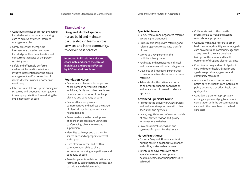#### » Contributes to health literacy by sharing knowledge with the person receiving care to achieve evidence-informed management plan

- » Safely prescribes therapeutic interventions based on accurate knowledge of the characteristics and concurrent therapies of the person receiving care
- » Safely and effectively performs evidence-informed invasive/noninvasive interventions for the clinical management and/or prevention of illness, disease, injuries, disorders or conditions
- » Interprets and follows-up the findings of screening and diagnostic investigations in an appropriate time frame during the implementation of care.

### **Standard 10**

Drug and alcohol specialist nurses build and maintain partnerships in teams, across services and in the community, to deliver best practice.

**Intention: Build relationships to coordinate and share the care of individuals and groups affected by AOD related problems.**

#### **Foundation Nurse**

- » Ensures care plans are developed and coordinated in partnership with the individual, family and other health team members with the view of discharge planning and continuity of care
- » Ensures that care plans are comprehensive and address the range of physical, psychological and social health domains
- » Seeks guidance in the development of appropriate care plans using case conferencing, clinical review and supervision
- » Identifies pathways and partners for shared care and appropriate referral and support
- » Uses effective verbal and written communication skills to share information ensuring safe pathways and continuity of care
- » Provides patients with information in a format they can understand so they can participate in decision making.

#### **Specialist Nurse**

- » Seeks, receives and negotiates referrals according to client need
- » Builds relationships with referring and referral agencies to facilitate transfer of care
- » Works as a key partner in the multidisciplinary team
- » Facilitates and participates in clinical and case reviews with referral agencies
- » Develops and maintains partnerships to ensure safe transfer of care between referring
- » Advocates for the patient and acts as an agent to support coordination and integration of care with relevant agencies.

#### **Advanced Specialist Nurse**

- » Promotes the delivery of AOD services and seeks to align practices with other specialties and agencies
- » Leads, negotiates and influences models of care, service reviews and quality improvement initiatives
- » Provides clinical supervision and systems of support for their team.

- » Delivers Drug and Alcohol specialist nursing care in a collaborative manner with all key stakeholders involved
- » Initiates and advocates with other agencies to ensure that optimum health outcomes for their patients are achieved
- » Collaborates with other health professionals to make and accept referrals as appropriate
- » Consults with and/or refers to other health services, disability services, agedcare providers and community agencies at any point in the care continuum to improve the access and health outcomes of drug and alcohol patients
- » Coordinates drug and alcohol patients care with other health, disability and aged-care providers, agencies and community resources
- » Advocates for improved access to health care, the health care system and policy decisions that affect health and quality of life
- » Considers a plan for appropriately ceasing and/or modifying treatment in consultation with the person receiving care and other members of the health care team.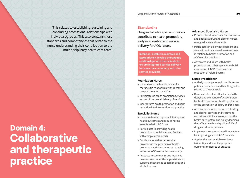This relates to establishing, sustaining and concluding professional relationships with individuals/groups. This also contains those standards and competencies that relate to the nurse understanding their contribution to the multidisciplinary health care team.

## **Domain 4: Collaborative and therapeutic practice**

#### **Standard 11**

Drug and alcohol specialist nurses contribute to health promotion, early intervention and service delivery for AOD issues.

**Intention: Establish, maintain and appropriately develop therapeutic relationships with their clients to ensure integrated service delivery between the community and other service providers.**

#### **Foundation Nurse**

- » Understands the key elements of a therapeutic relationship with clients and can put these into practice
- » Participates in health promotion activities as part of the overall delivery of service
- » Incorporates health promotion and harm reduction into intervention and practice.

#### **Specialist Nurse**

- » Uses a systemised approach to improve health outcomes and reduce harms associated with AOD use
- » Participates in providing health promotion to individuals and families with complex care needs
- » Collaborates with other service providers in the provision of health promotion activities aimed at reducing impact of AOD use in the community
- » Practices in community and inpatient care settings under the supervision and support of advanced specialist drug and alcohol nurses.

#### **Advanced Specialist Nurse**

- » Provides clinical supervision for Foundation and Specialist drug and alcohol nurses, new graduates and students
- » Participates in policy development and strategic action across diverse settings in relation to health promotion and AOD service provision
- » Advocates and liaises with health promotion and other agencies to build awareness of AOD issues and the reduction of related harms.

- » Actively participates and contributes to policies, procedures and health agendas related to the AOD field
- » Demonstrates clinical leadership in the design and evaluation of AOD services for health promotion, health protection or the prevention of injury and/or illness
- » Advocates for improved access to drug and alcohol services and treatment modalities with local areas, across the health care system and policy decisions that affect health and quality of life of drug and alcohol patients
- » Implements research-based innovations for improving care of AOD patients
- » Applies the best available evidence to identify and select appropriate outcomes measures of practice.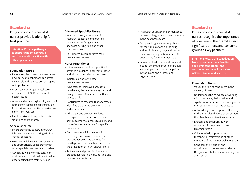Drug and alcohol specialist nurses provide leadership for best practice.

**Intention: Provide pathways to support the collaborative and therapeutic practice with other specialties.**

#### **Foundation Nurse**

- » Recognises that co-existing mental and physical health conditions can affect individuals and families presenting with AOD problems
- » Promotes non-judgemental care irrespective of AOD and mental health issues
- » Advocates for safe, high quality care that is free from stigma and discrimination for individuals and families experiencing harm from AOD use
- » Identifies risk and responds to crisis situations appropriately.

#### **Specialist Nurse**

- » Incorporates the spectrum of AOD interventions when working within a variety of settings
- » Assesses individual and family needs and appropriately collaborates with other specialist and service providers
- » Advocates widely for the safe, high quality care of individuals and families experiencing harm from AOD use.

#### **Advanced Specialist Nurse**

- » Influences policy development, research, education and practice relevant to the Drug and Alcohol specialist nursing field and other specialty areas
- » Participates in collaborative case management reviews.

#### **Nurse Practitioner**

- » Utilises research and best practice to advance excellence in delivery of Drug and Alcohol specialist nursing care
- » Initiates collaborative case management reviews
- » Advocates for improved access to health care, the health care system and policy decisions that affect health and quality of life
- » Contributes to research that addresses identified gaps in the provision of care and/or services
- » Advocates and provides evidence for expansion to nurse practitioner service to improve access to quality and cost-effective health care for specific populations
- » Demonstrates clinical leadership in the design and evaluation of nurse practitioner delivered services for health promotion, health protection or the prevention of injury and/or illness
- » Articulates and promotes the nurse practitioner role in clinical, political and professional contexts
- 
- » Acts as an educator and/or mentor to nursing colleagues and other members in the healthcare team
- » Critiques drug and alcohol policies for their implications on the drug and alcohol sector, drug and alcohol clinicians, nurse practitioner and the populations for whom they care
- » Influences health care and drug and alcohol policy and practice through leadership and active participation in workplace and professional organisations.

#### **Standard 13**

Drug and alcohol specialist nurses recognise the importance of consumers, their families and significant others, and consumer groups as key partners.

**Intention: Regard the contribution from consumers, their families and significant others, and consumer groups as integral to AOD treatment and service.**

#### **Foundation Nurse**

- » Values the role of consumers in the delivery of care
- » Understands the relevance of working with consumers, their families and significant others, and consumer groups to ensure person-centred practice
- » Acknowledges and responds effectively to the interrelated needs of consumers, their families and significant others
- » Engages and collaborates with consumers in response to their treatment goals
- » Collaboratively supports the therapeutic interventions of other members of the multidisciplinary team
- » Considers the inclusion and contribution of consumers to shape Drug and Alcohol specialist nursing care as essential.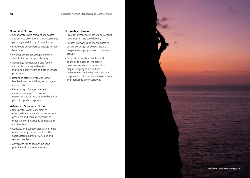#### **Specialist Nurse**

- » Collaborates with relevant specialists and service providers in the assessment, planning and delivery of complex care
- » Empowers consumers to engage in their treatment
- » Involves consumer groups and other stakeholders in service planning
- » Advocates for individual and family care, collaborating within the multidisciplinary team and other service providers
- » Responds effectively to consumer feedback and complaints, escalating as appropriate
- » Develops quality improvement initiatives to improve consumer outcomes and service delivery based on patient reported experience.

#### **Advanced Specialist Nurse**

- » Uses professional leadership to effectively advocate with other service providers and consumer groups to meet the complex needs of individuals and families
- » Consults and collaborates with a range of consumer groups to address the social determinants of AOD use and related problems
- » Advocates for consumer inclusive practice to improve outcomes.

- » Provides excellence in Drug and Alcohol specialist nursing care delivery
- » Creates pathways and mechanisms to ensure co-design of policy, research, programs and projects with consumer groups
- » Supports, educates, coaches and counsels the person, the family members receiving care regarding diagnoses, prognoses and selfmanagement, including their personal responses to illness, injuries, risk factors and therapeutic interventions.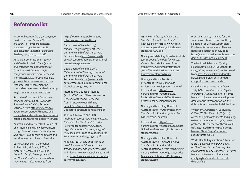ACON Publication (2017), A *Language Guide: Trans and Gender Diverse Inclusion*. Retrieved from [https://](https://www.acon.org.au/wp-content/uploads/2017/11/External_Language-Guide-17396_print_V12A.pdf) [www.acon.org.au/wp-content/](https://www.acon.org.au/wp-content/uploads/2017/11/External_Language-Guide-17396_print_V12A.pdf) [uploads/2017/11/External\\_Language-](https://www.acon.org.au/wp-content/uploads/2017/11/External_Language-Guide-17396_print_V12A.pdf)[Guide-17396\\_print\\_V12A.pdf](https://www.acon.org.au/wp-content/uploads/2017/11/External_Language-Guide-17396_print_V12A.pdf)

Australian Commission on Safety and Quality in Health Care (2019). *Implementing the Comprehensive Care Standard: Develop single comprehensive care plan*. Retrieved from: [https://www.safetyandquality.](https://www.safetyandquality.gov.au/publications-and-resources/resource-library/implementing-comprehensive-care-standard-develop-single-comprehensive-care-plan) [gov.au/publications-and-resources/](https://www.safetyandquality.gov.au/publications-and-resources/resource-library/implementing-comprehensive-care-standard-develop-single-comprehensive-care-plan) [resource-library/implementing](https://www.safetyandquality.gov.au/publications-and-resources/resource-library/implementing-comprehensive-care-standard-develop-single-comprehensive-care-plan)[comprehensive-care-standard-develop](https://www.safetyandquality.gov.au/publications-and-resources/resource-library/implementing-comprehensive-care-standard-develop-single-comprehensive-care-plan)[single-comprehensive-care-plan](https://www.safetyandquality.gov.au/publications-and-resources/resource-library/implementing-comprehensive-care-standard-develop-single-comprehensive-care-plan)

Australian Government Department of Social Services (2014). *National Standards for Disability Services*. Retrieved from [https://www.dss.gov.](https://www.dss.gov.au/our-responsibilities/disability-and-carers/standards-and-quality-assurance/national-standards-for-disability-services) [au/our-responsibilities/disability-and](https://www.dss.gov.au/our-responsibilities/disability-and-carers/standards-and-quality-assurance/national-standards-for-disability-services)[carers/standards-and-quality-assurance/](https://www.dss.gov.au/our-responsibilities/disability-and-carers/standards-and-quality-assurance/national-standards-for-disability-services) [national-standards-for-disability-services](https://www.dss.gov.au/our-responsibilities/disability-and-carers/standards-and-quality-assurance/national-standards-for-disability-services)

Australian and New Zealand Council of Chief Nursing and Midwifery Officers (2019). *Professionalism in Nursing and Midwifery – Supporting good care and health outcomes*. Victoria. Australia

Cashin, A. Buckley, T. Donoghue, J. Heartfield, M. Bryce, J. Cox, D. Waters, D. Gosby, H. Kelly, J and Dunn, S.V.(2015), *Development of the Nurse Practitioner Standards for Practice Australia*. Retrieved from

[https://journals.sagepub.com/doi/](https://journals.sagepub.com/doi/full/10.1177/1527154415584233) [full/10.1177/1527154415584233](https://journals.sagepub.com/doi/full/10.1177/1527154415584233)

Department of Health (2017). *National Drug Strategy 2017–2026*. Commonwealth of Australia. ACT. Retrieved from [https://www.health.](https://www.health.gov.au/resources/publications/national-drug-strategy-2017-2026) [gov.au/resources/publications/national](https://www.health.gov.au/resources/publications/national-drug-strategy-2017-2026)[drug-strategy-2017-2026](https://www.health.gov.au/resources/publications/national-drug-strategy-2017-2026)

Department of Health (2019). *National Alcohol Strategy 2019–2028*. Commonwealth of Australia. ACT. Retrieved from [https://www.health.](https://www.health.gov.au/resources/publications/national-alcohol-strategy-2019-2028) [gov.au/resources/publications/national](https://www.health.gov.au/resources/publications/national-alcohol-strategy-2019-2028)[alcohol-strategy-2019-2028](https://www.health.gov.au/resources/publications/national-alcohol-strategy-2019-2028)

International Council of Nurses (2012). *ICN Code of Ethics for Nurses*. Geneva, Switzerland. Retrieved from [https://www.icn.ch/sites/](https://www.icn.ch/sites/default/files/inline-files/2012_ICN_Codeofethicsfornurses_%20eng.pdf) [default/files/inline-files/2012\\_ICN\\_](https://www.icn.ch/sites/default/files/inline-files/2012_ICN_Codeofethicsfornurses_%20eng.pdf) [Codeofethicsfornurses\\_%20eng.pdf](https://www.icn.ch/sites/default/files/inline-files/2012_ICN_Codeofethicsfornurses_%20eng.pdf)

Joint ACON; NADA and PHN Publication (2019), *AOD Inclusive LGBTI Guidelines for Treatment Providers*. Retrieved from [https://www.acon.](https://www.acon.org.au/wp-content/uploads/2019/02/AOD-Inclusive-Practice-Guidelines-for-Treatment-Providers_A4_v11.pdf) [org.au/wp-content/uploads/2019/02/](https://www.acon.org.au/wp-content/uploads/2019/02/AOD-Inclusive-Practice-Guidelines-for-Treatment-Providers_A4_v11.pdf) [AOD-Inclusive-Practice-Guidelines-for-](https://www.acon.org.au/wp-content/uploads/2019/02/AOD-Inclusive-Practice-Guidelines-for-Treatment-Providers_A4_v11.pdf)[Treatment-Providers\\_A4\\_v11.pdf](https://www.acon.org.au/wp-content/uploads/2019/02/AOD-Inclusive-Practice-Guidelines-for-Treatment-Providers_A4_v11.pdf)

Mills, K.L. (2015). *The importance of providing trauma informed care in alcohol and other drug services*. Drug and Alcohol Review. Australia. Retrieved from [https://onlinelibrary.wiley.com/doi/](https://onlinelibrary.wiley.com/doi/abs/10.1111/dar.12273) [abs/10.1111/dar.12273](https://onlinelibrary.wiley.com/doi/abs/10.1111/dar.12273)

NSW Health (2020). *Clinical Care Standards for AOD Treatment*. Retrieved from [https://www.health.](https://www.health.nsw.gov.au/aod/Pages/clinical-care-standards-AOD.aspx) [nsw.gov.au/aod/Pages/clinical-care](https://www.health.nsw.gov.au/aod/Pages/clinical-care-standards-AOD.aspx)[standards-AOD.aspx](https://www.health.nsw.gov.au/aod/Pages/clinical-care-standards-AOD.aspx) 

Nursing and Midwifery Board of Australia. (2018). *Code of Conduct for Nurses*. Victoria. Australia. Retrieved from [https://www.nursingmidwiferyboard.](https://www.nursingmidwiferyboard.gov.au/Codes-Guidelines-Statements/Professional-standards.aspx) [gov.au/Codes-Guidelines-Statements/](https://www.nursingmidwiferyboard.gov.au/Codes-Guidelines-Statements/Professional-standards.aspx) [Professional-standards.aspx](https://www.nursingmidwiferyboard.gov.au/Codes-Guidelines-Statements/Professional-standards.aspx)

Nursing and Midwifery Board of Australia (2016). *Continuing Professional Development Standard*. Retrieved from [https://www.](https://www.nursingmidwiferyboard.gov.au/Registration-Standards/Continuing-professional-development.aspx) [nursingmidwiferyboard.gov.au/](https://www.nursingmidwiferyboard.gov.au/Registration-Standards/Continuing-professional-development.aspx) [Registration-Standards/Continuing](https://www.nursingmidwiferyboard.gov.au/Registration-Standards/Continuing-professional-development.aspx)[professional-development.aspx](https://www.nursingmidwiferyboard.gov.au/Registration-Standards/Continuing-professional-development.aspx)

Nursing and Midwifery Board of Australia (2018). *Nurse Practitioner Standards for Practice updated March 2018*. Victoria. Australia.

Retrieved from [https://www.](https://www.nursingmidwiferyboard.gov.au/Codes-Guidelines-Statements/Professional-standards.aspx) [nursingmidwiferyboard.gov.au/Codes-](https://www.nursingmidwiferyboard.gov.au/Codes-Guidelines-Statements/Professional-standards.aspx)[Guidelines-Statements/Professional](https://www.nursingmidwiferyboard.gov.au/Codes-Guidelines-Statements/Professional-standards.aspx)[standards.aspx](https://www.nursingmidwiferyboard.gov.au/Codes-Guidelines-Statements/Professional-standards.aspx)

Nursing and Midwifery Board of Australia (2016). *Registered Nurse Standards for Practice.* Victoria. Australia. Retrieved from [https://www.](https://www.nursingmidwiferyboard.gov.au/Codes-Guidelines-Statements/Professional-standards.aspx) [nursingmidwiferyboard.gov.au/Codes-](https://www.nursingmidwiferyboard.gov.au/Codes-Guidelines-Statements/Professional-standards.aspx)[Guidelines-Statements/Professional](https://www.nursingmidwiferyboard.gov.au/Codes-Guidelines-Statements/Professional-standards.aspx)[standards.aspx](https://www.nursingmidwiferyboard.gov.au/Codes-Guidelines-Statements/Professional-standards.aspx)

Proctor, B. (2010). Training for the supervision alliance from: Routledge Handbook of Clinical Supervision, Fundamental International Themes Routledge Retrieved 13 July 2020 [https://www.routledgehandbooks.com/](https://www.routledgehandbooks.com/doi/10.4324/9780203843437.ch3) [doi/10.4324/9780203843437.ch3](https://www.routledgehandbooks.com/doi/10.4324/9780203843437.ch3)

The National Safety and Quality Health Service (NSQHS) Standards (2017). *Comprehensive Care*. Retrieved from [https://www.safetyandquality.](https://www.safetyandquality.gov.au/standards/nsqhs-standards/comprehensive-care-standard) [gov.au/standards/nsqhs-standards/](https://www.safetyandquality.gov.au/standards/nsqhs-standards/comprehensive-care-standard) [comprehensive-care-standard](https://www.safetyandquality.gov.au/standards/nsqhs-standards/comprehensive-care-standard)

United Nations Convention (2006- 2016) *UN Convention on the Rights of Persons with a Disability*. Retrieved from [https://www.un.org/development/](https://www.un.org/development/desa/disabilities/convention-on-the-rights-of-persons-with-disabilities.html) [desa/disabilities/convention-on-the](https://www.un.org/development/desa/disabilities/convention-on-the-rights-of-persons-with-disabilities.html)[rights-of-persons-with-disabilities.html](https://www.un.org/development/desa/disabilities/convention-on-the-rights-of-persons-with-disabilities.html)

Whitehorn, A. Porritt, K. Lockwood, C. Xing, W. Zhu, Z and Hu, Y. (2020). *Methodological components and quality evidence summaries: a scoping review protocol*. JBI Evidence Synthesis, Vol 18 (10). Retrieved from: [https://journals.](https://journals.lww.com/jbisrir/pages/futuretoc.aspx?futuretocid=48) [lww.com/jbisrir/pages/futuretoc.](https://journals.lww.com/jbisrir/pages/futuretoc.aspx?futuretocid=48) [aspx?futuretocid=48](https://journals.lww.com/jbisrir/pages/futuretoc.aspx?futuretocid=48)

World Health Organisation Publication (2016). *Leave No one Behind, FAQ on Health and Sexual Diversity: An Introduction to Key Concepts*. Retrieved from [https://www.who.int/gender](https://www.who.int/gender-equity-rights/news/health-sexual-diversity/en/)[equity-rights/news/health-sexual](https://www.who.int/gender-equity-rights/news/health-sexual-diversity/en/)[diversity/en/](https://www.who.int/gender-equity-rights/news/health-sexual-diversity/en/)